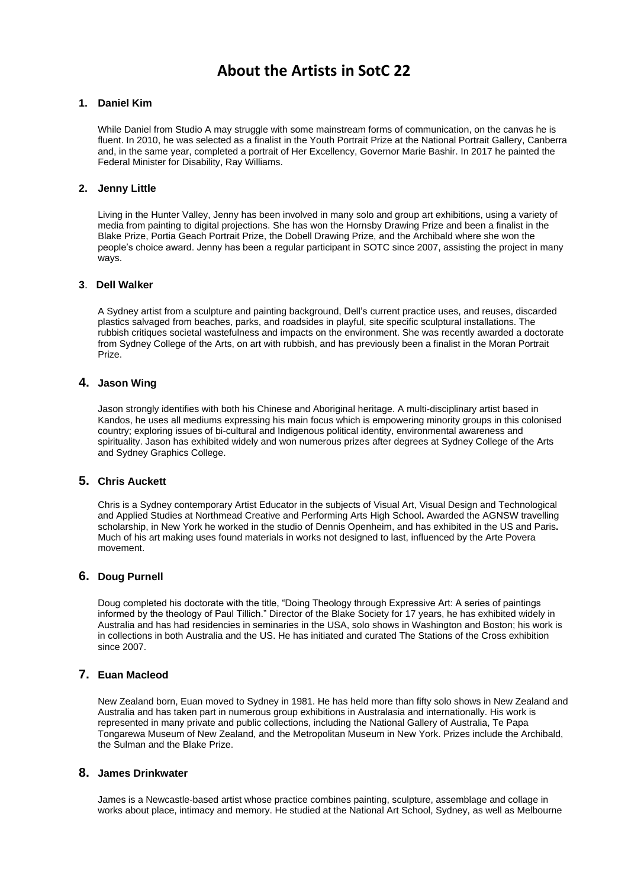# **About the Artists in SotC 22**

## **1. Daniel Kim**

While Daniel from Studio A may struggle with some mainstream forms of communication, on the canvas he is fluent. In 2010, he was selected as a finalist in the Youth Portrait Prize at the National Portrait Gallery, Canberra and, in the same year, completed a portrait of Her Excellency, Governor Marie Bashir. In 2017 he painted the Federal Minister for Disability, Ray Williams.

# **2. Jenny Little**

Living in the Hunter Valley, Jenny has been involved in many solo and group art exhibitions, using a variety of media from painting to digital projections. She has won the Hornsby Drawing Prize and been a finalist in the Blake Prize, Portia Geach Portrait Prize, the Dobell Drawing Prize, and the Archibald where she won the people's choice award. Jenny has been a regular participant in SOTC since 2007, assisting the project in many ways.

## **3**. **Dell Walker**

A Sydney artist from a sculpture and painting background, Dell's current practice uses, and reuses, discarded plastics salvaged from beaches, parks, and roadsides in playful, site specific sculptural installations. The rubbish critiques societal wastefulness and impacts on the environment. She was recently awarded a doctorate from Sydney College of the Arts, on art with rubbish, and has previously been a finalist in the Moran Portrait Prize.

## **4. Jason Wing**

Jason strongly identifies with both his Chinese and Aboriginal heritage. A multi-disciplinary artist based in Kandos, he uses all mediums expressing his main focus which is empowering minority groups in this colonised country; exploring issues of bi-cultural and Indigenous political identity, environmental awareness and spirituality. Jason has exhibited widely and won numerous prizes after degrees at Sydney College of the Arts and Sydney Graphics College.

## **5. Chris Auckett**

Chris is a Sydney contemporary Artist Educator in the subjects of Visual Art, Visual Design and Technological and Applied Studies at Northmead Creative and Performing Arts High School**.** Awarded the AGNSW travelling scholarship, in New York he worked in the studio of Dennis Openheim, and has exhibited in the US and Paris**.** Much of his art making uses found materials in works not designed to last, influenced by the Arte Povera movement.

## **6. Doug Purnell**

Doug completed his doctorate with the title, "Doing Theology through Expressive Art: A series of paintings informed by the theology of Paul Tillich." Director of the Blake Society for 17 years, he has exhibited widely in Australia and has had residencies in seminaries in the USA, solo shows in Washington and Boston; his work is in collections in both Australia and the US. He has initiated and curated The Stations of the Cross exhibition since 2007.

# **7. Euan Macleod**

New Zealand born, Euan moved to Sydney in 1981. He has held more than fifty solo shows in New Zealand and Australia and has taken part in numerous group exhibitions in Australasia and internationally. His work is represented in many private and public collections, including the National Gallery of Australia, Te Papa Tongarewa Museum of New Zealand, and the Metropolitan Museum in New York. Prizes include the Archibald, the Sulman and the Blake Prize.

#### **8. James Drinkwater**

James is a Newcastle-based artist whose practice combines painting, sculpture, assemblage and collage in works about place, intimacy and memory. He studied at the National Art School, Sydney, as well as Melbourne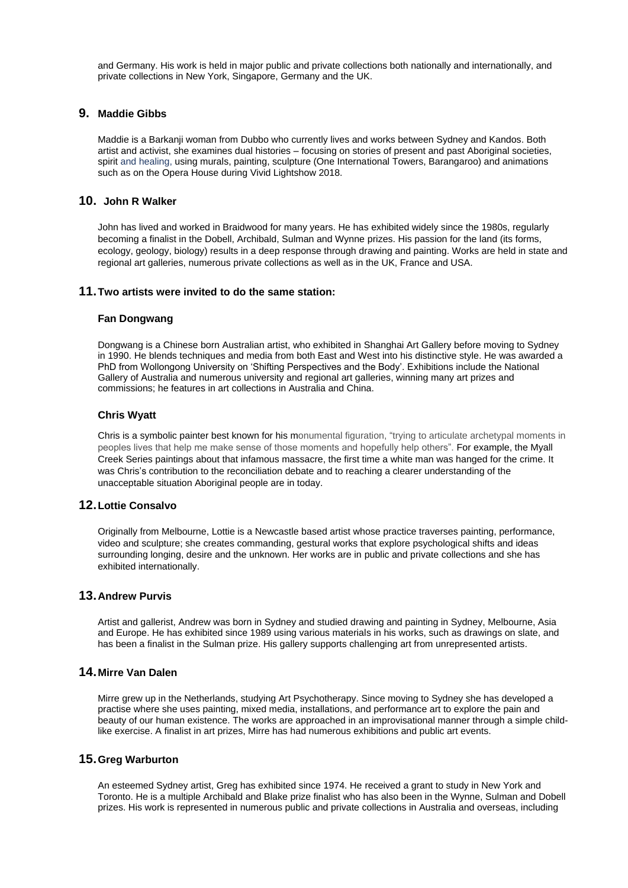and Germany. His work is held in major public and private collections both nationally and internationally, and private collections in New York, Singapore, Germany and the UK.

# **9. Maddie Gibbs**

Maddie is a Barkanji woman from Dubbo who currently lives and works between Sydney and Kandos. Both artist and activist, she examines dual histories – focusing on stories of present and past Aboriginal societies, spirit and healing, using murals, painting, sculpture (One International Towers, Barangaroo) and animations such as on the Opera House during Vivid Lightshow 2018.

# **10. John R Walker**

John has lived and worked in Braidwood for many years. He has exhibited widely since the 1980s, regularly becoming a finalist in the Dobell, Archibald, Sulman and Wynne prizes. His passion for the land (its forms, ecology, geology, biology) results in a deep response through drawing and painting. Works are held in state and regional art galleries, numerous private collections as well as in the UK, France and USA.

#### **11.Two artists were invited to do the same station:**

#### **Fan Dongwang**

Dongwang is a Chinese born Australian artist, who exhibited in Shanghai Art Gallery before moving to Sydney in 1990. He blends techniques and media from both East and West into his distinctive style. He was awarded a PhD from Wollongong University on 'Shifting Perspectives and the Body'. Exhibitions include the National Gallery of Australia and numerous university and regional art galleries, winning many art prizes and commissions; he features in art collections in Australia and China.

#### **Chris Wyatt**

Chris is a symbolic painter best known for his monumental figuration, "trying to articulate archetypal moments in peoples lives that help me make sense of those moments and hopefully help others". For example, the Myall Creek Series paintings about that infamous massacre, the first time a white man was hanged for the crime. It was Chris's contribution to the reconciliation debate and to reaching a clearer understanding of the unacceptable situation Aboriginal people are in today.

# **12.Lottie Consalvo**

Originally from Melbourne, Lottie is a Newcastle based artist whose practice traverses painting, performance, video and sculpture; she creates commanding, gestural works that explore psychological shifts and ideas surrounding longing, desire and the unknown. Her works are in public and private collections and she has exhibited internationally.

## **13.Andrew Purvis**

Artist and gallerist, Andrew was born in Sydney and studied drawing and painting in Sydney, Melbourne, Asia and Europe. He has exhibited since 1989 using various materials in his works, such as drawings on slate, and has been a finalist in the Sulman prize. His gallery supports challenging art from unrepresented artists.

# **14.Mirre Van Dalen**

Mirre grew up in the Netherlands, studying Art Psychotherapy. Since moving to Sydney she has developed a practise where she uses painting, mixed media, installations, and performance art to explore the pain and beauty of our human existence. The works are approached in an improvisational manner through a simple childlike exercise. A finalist in art prizes, Mirre has had numerous exhibitions and public art events.

## **15.Greg Warburton**

An esteemed Sydney artist, Greg has exhibited since 1974. He received a grant to study in New York and Toronto. He is a multiple Archibald and Blake prize finalist who has also been in the Wynne, Sulman and Dobell prizes. His work is represented in numerous public and private collections in Australia and overseas, including